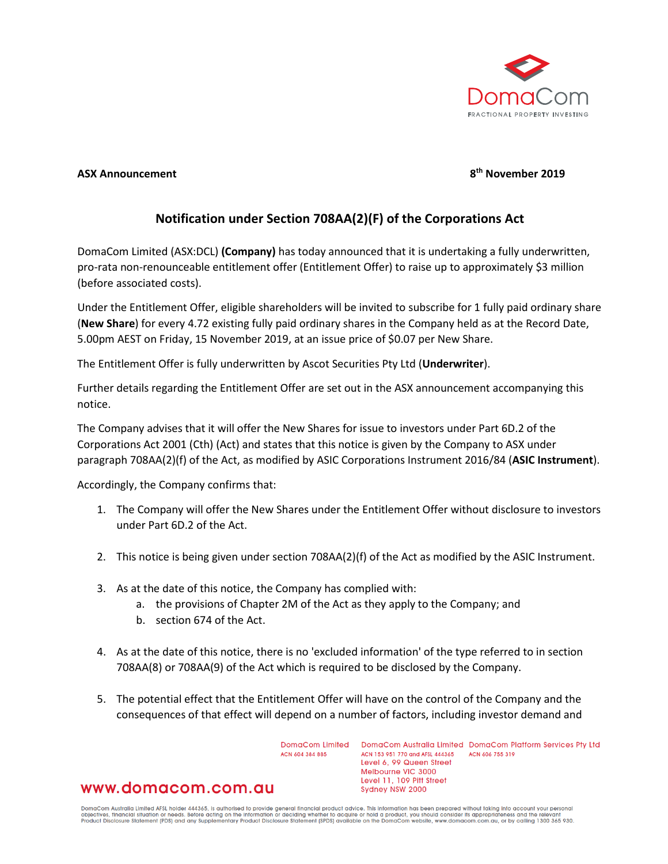

## **ASX Announcement 8th November 2019**

## **Notification under Section 708AA(2)(F) of the Corporations Act**

DomaCom Limited (ASX:DCL) **(Company)** has today announced that it is undertaking a fully underwritten, pro-rata non-renounceable entitlement offer (Entitlement Offer) to raise up to approximately \$3 million (before associated costs).

Under the Entitlement Offer, eligible shareholders will be invited to subscribe for 1 fully paid ordinary share (**New Share**) for every 4.72 existing fully paid ordinary shares in the Company held as at the Record Date, 5.00pm AEST on Friday, 15 November 2019, at an issue price of \$0.07 per New Share.

The Entitlement Offer is fully underwritten by Ascot Securities Pty Ltd (**Underwriter**).

Further details regarding the Entitlement Offer are set out in the ASX announcement accompanying this notice.

The Company advises that it will offer the New Shares for issue to investors under Part 6D.2 of the Corporations Act 2001 (Cth) (Act) and states that this notice is given by the Company to ASX under paragraph 708AA(2)(f) of the Act, as modified by ASIC Corporations Instrument 2016/84 (**ASIC Instrument**).

Accordingly, the Company confirms that:

- 1. The Company will offer the New Shares under the Entitlement Offer without disclosure to investors under Part 6D.2 of the Act.
- 2. This notice is being given under section 708AA(2)(f) of the Act as modified by the ASIC Instrument.
- 3. As at the date of this notice, the Company has complied with:
	- a. the provisions of Chapter 2M of the Act as they apply to the Company; and
	- b. section 674 of the Act.
- 4. As at the date of this notice, there is no 'excluded information' of the type referred to in section 708AA(8) or 708AA(9) of the Act which is required to be disclosed by the Company.
- 5. The potential effect that the Entitlement Offer will have on the control of the Company and the consequences of that effect will depend on a number of factors, including investor demand and

ACN 604 384 885

DomaCom Limited DomaCom Australia Limited DomaCom Platform Services Pty Ltd ACN 153 951 770 and AFSL 444365 ACN 606 755 319 Level 6, 99 Queen Street Melbourne VIC 3000 Level 11, 109 Pitt Street Sydney NSW 2000

## www.domacom.com.au

DomaCom Australia Limited AFSL holder 444365, is authorised to provide general financial product advice. This information has been prepared without taking into account your personal<br>objectives, financial situation or needs